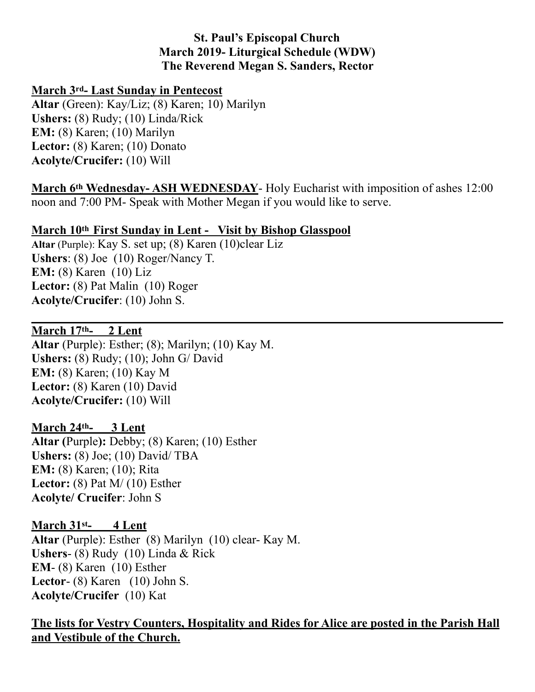## **St. Paul's Episcopal Church March 2019- Liturgical Schedule (WDW) The Reverend Megan S. Sanders, Rector**

### **March 3rd- Last Sunday in Pentecost**

**Altar** (Green): Kay/Liz; (8) Karen; 10) Marilyn **Ushers:** (8) Rudy; (10) Linda/Rick **EM:** (8) Karen; (10) Marilyn **Lector:** (8) Karen; (10) Donato **Acolyte/Crucifer:** (10) Will

**March 6th Wednesday- ASH WEDNESDAY**- Holy Eucharist with imposition of ashes 12:00 noon and 7:00 PM- Speak with Mother Megan if you would like to serve.

## **March 10th First Sunday in Lent - Visit by Bishop Glasspool**

**Altar** (Purple): Kay S. set up; (8) Karen (10)clear Liz **Ushers**: (8) Joe (10) Roger/Nancy T. **EM:** (8) Karen (10) Liz Lector: **(8)** Pat Malin (10) Roger **Acolyte/Crucifer**: (10) John S.

### **March 17th- 2 Lent**

**Altar** (Purple): Esther; (8); Marilyn; (10) Kay M. **Ushers:** (8) Rudy; (10); John G/ David **EM:** (8) Karen; (10) Kay M **Lector:** (8) Karen (10) David **Acolyte/Crucifer:** (10) Will

### **March 24th- 3 Lent**

**Altar (**Purple**):** Debby; (8) Karen; (10) Esther **Ushers:** (8) Joe; (10) David/ TBA **EM:** (8) Karen; (10); Rita **Lector:** (8) Pat M/ (10) Esther **Acolyte/ Crucifer**: John S

### **March 31st- 4 Lent**

**Altar** (Purple): Esther (8) Marilyn (10) clear- Kay M. **Ushers**- (8) Rudy (10) Linda & Rick **EM**- (8) Karen (10) Esther **Lector**- (8) Karen (10) John S. **Acolyte/Crucifer** (10) Kat

# **The lists for Vestry Counters, Hospitality and Rides for Alice are posted in the Parish Hall and Vestibule of the Church.**